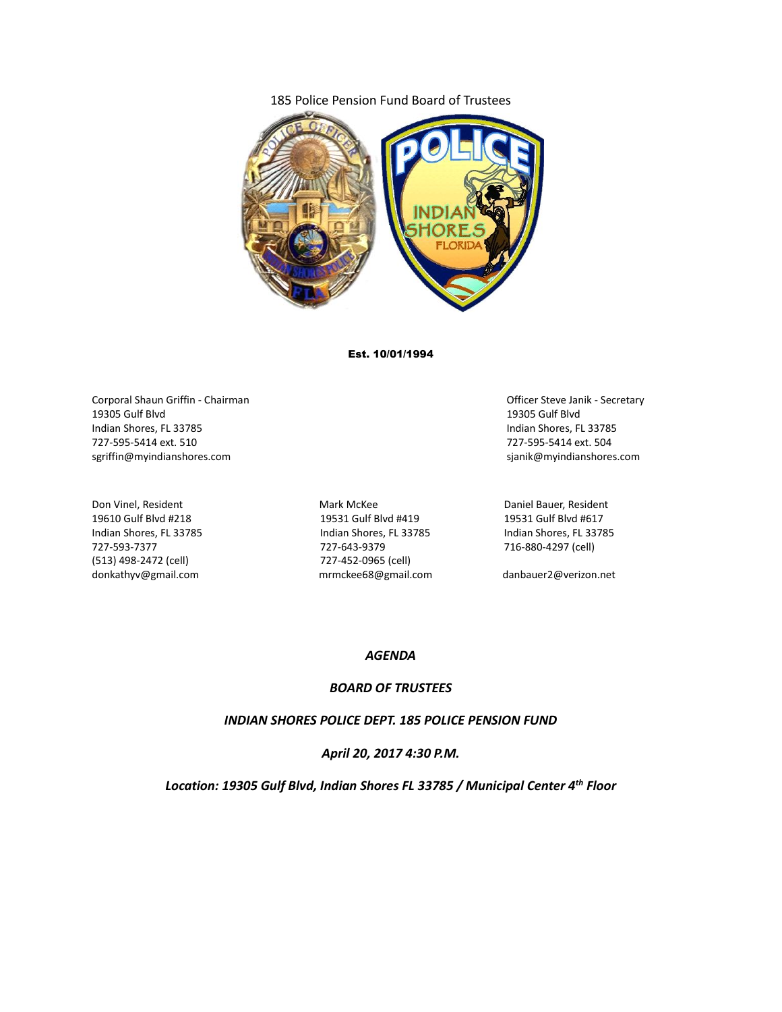#### 185 Police Pension Fund Board of Trustees



Est. 10/01/1994

Corporal Shaun Griffin - Chairman Chairman Chairman Chairman Chairman Chairman Chairman Chairman Chairman Chairman 19305 Gulf Blvd 19305 Gulf Blvd Indian Shores, FL 33785 Indian Shores, FL 33785 727-595-5414 ext. 510 727-595-5414 ext. 504 sgriffin@myindianshores.com sjanik@myindianshores.com

(513) 498-2472 (cell) 727-452-0965 (cell) donkathyv@gmail.com mrmckee68@gmail.com danbauer2@verizon.net

Don Vinel, Resident The Controller Mark McKee Mark McKee Daniel Bauer, Resident 19610 Gulf Blvd #218 19531 Gulf Blvd #419 19531 Gulf Blvd #617 Indian Shores, FL 33785 Indian Shores, FL 33785 Indian Shores, FL 33785 727-593-7377 727-643-9379 716-880-4297 (cell)

#### *AGENDA*

#### *BOARD OF TRUSTEES*

*INDIAN SHORES POLICE DEPT. 185 POLICE PENSION FUND*

*April 20, 2017 4:30 P.M.*

*Location: 19305 Gulf Blvd, Indian Shores FL 33785 / Municipal Center 4th Floor*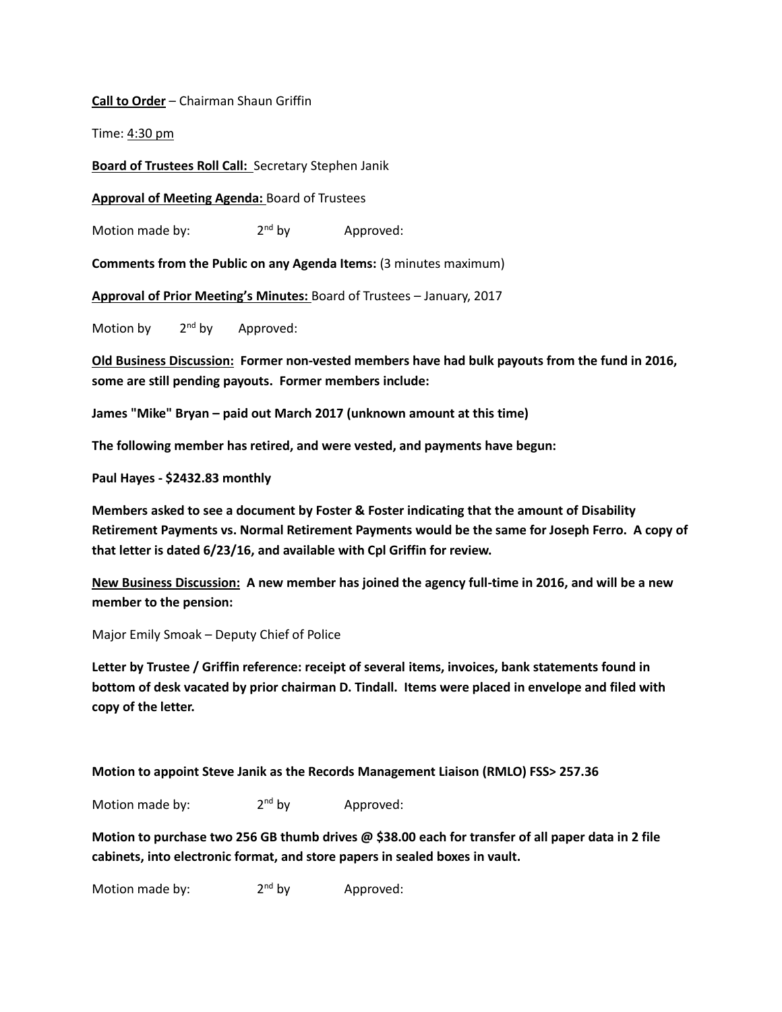**Call to Order** – Chairman Shaun Griffin

Time: 4:30 pm

**Board of Trustees Roll Call:** Secretary Stephen Janik

**Approval of Meeting Agenda:** Board of Trustees

Motion made by: 2<sup>nd</sup> by Approved:

**Comments from the Public on any Agenda Items:** (3 minutes maximum)

**Approval of Prior Meeting's Minutes:** Board of Trustees – January, 2017

Motion by  $2<sup>nd</sup>$  by Approved:

**Old Business Discussion: Former non-vested members have had bulk payouts from the fund in 2016, some are still pending payouts. Former members include:**

**James "Mike" Bryan – paid out March 2017 (unknown amount at this time)**

**The following member has retired, and were vested, and payments have begun:**

**Paul Hayes - \$2432.83 monthly**

**Members asked to see a document by Foster & Foster indicating that the amount of Disability Retirement Payments vs. Normal Retirement Payments would be the same for Joseph Ferro. A copy of that letter is dated 6/23/16, and available with Cpl Griffin for review.**

**New Business Discussion: A new member has joined the agency full-time in 2016, and will be a new member to the pension:**

Major Emily Smoak – Deputy Chief of Police

**Letter by Trustee / Griffin reference: receipt of several items, invoices, bank statements found in bottom of desk vacated by prior chairman D. Tindall. Items were placed in envelope and filed with copy of the letter.**

**Motion to appoint Steve Janik as the Records Management Liaison (RMLO) FSS> 257.36**

Motion made by:  $2<sup>nd</sup>$  by Approved:

**Motion to purchase two 256 GB thumb drives @ \$38.00 each for transfer of all paper data in 2 file cabinets, into electronic format, and store papers in sealed boxes in vault.**

Motion made by:  $2<sup>nd</sup>$  by Approved: